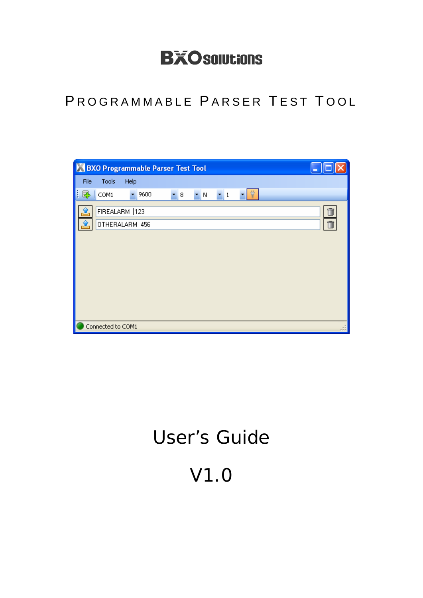# **BXO solutions**

# PROGRAMMABLE PARSER TEST TOOL

| <b>BXO Programmable Parser Test Tool</b>                                               |   |
|----------------------------------------------------------------------------------------|---|
| Tools<br>Help<br>File                                                                  |   |
| Ÿ<br>COM1<br>9600<br>క<br>$\blacksquare$ 8<br>$\blacksquare$ N<br>$\mathbf{r}$ 1<br>▼. |   |
| FIREALARM   123<br>OTHERALARM 456                                                      | Ū |
| Connected to COM1                                                                      |   |

# User's Guide

V1.0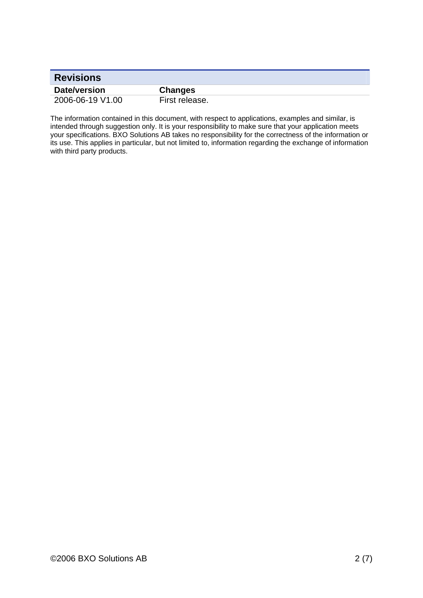| <b>Revisions</b> |                |
|------------------|----------------|
| Date/version     | <b>Changes</b> |
| 2006-06-19 V1.00 | First release. |

The information contained in this document, with respect to applications, examples and similar, is intended through suggestion only. It is your responsibility to make sure that your application meets your specifications. BXO Solutions AB takes no responsibility for the correctness of the information or its use. This applies in particular, but not limited to, information regarding the exchange of information with third party products.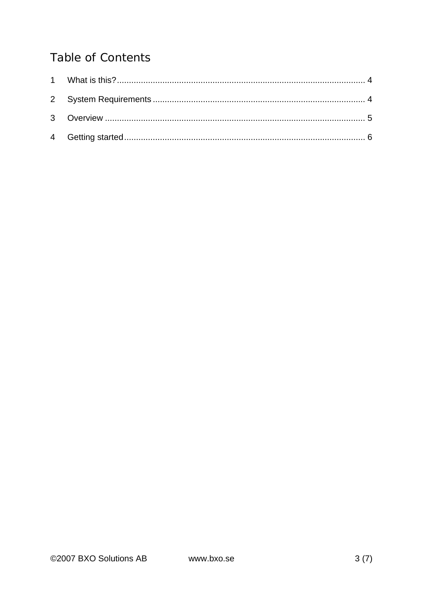## **Table of Contents**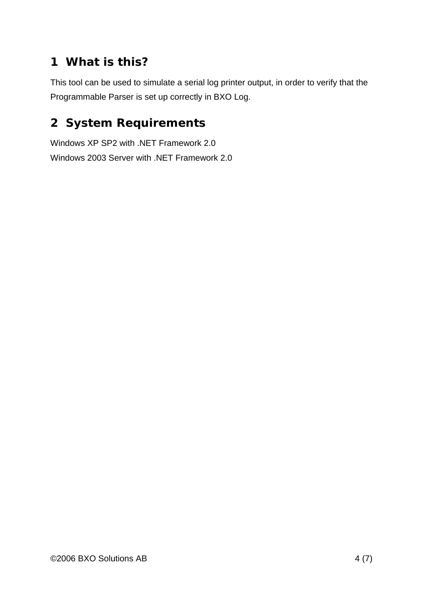# **1 What is this?**

This tool can be used to simulate a serial log printer output, in order to verify that the Programmable Parser is set up correctly in BXO Log.

### **2 System Requirements**

Windows XP SP2 with .NET Framework 2.0 Windows 2003 Server with .NET Framework 2.0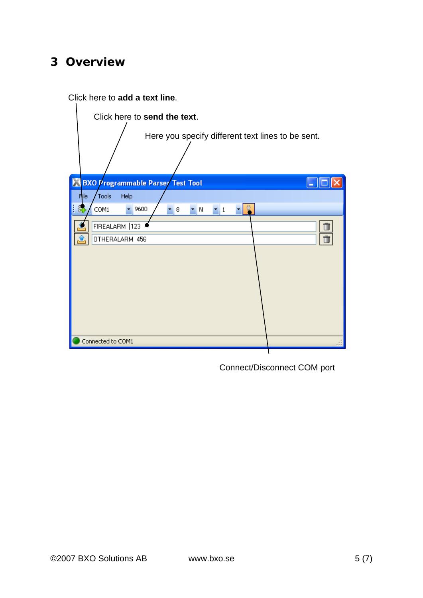#### **3 Overview**

Click here to **add a text line**.



Connect/Disconnect COM port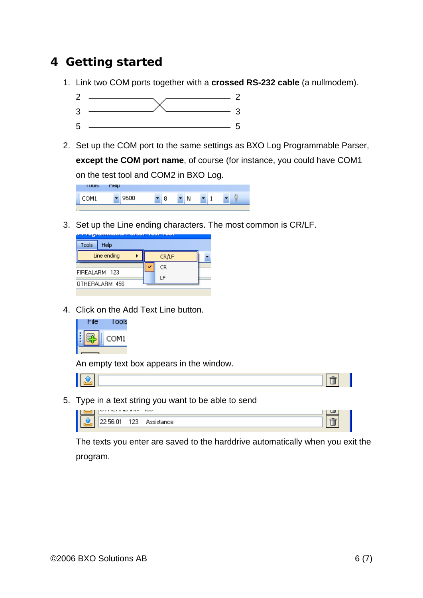### **4 Getting started**

- 1. Link two COM ports together with a **crossed RS-232 cable** (a nullmodem).
	- 2  $\sim$  2  $\overline{\phantom{a}3\phantom{a}}$   $\overline{\phantom{a}3\phantom{a}}$   $\overline{\phantom{a}3\phantom{a}}$  $5 \frac{1}{2}$
- 2. Set up the COM port to the same settings as BXO Log Programmable Parser, **except the COM port name**, of course (for instance, you could have COM1 on the test tool and COM2 in BXO Log.



3. Set up the Line ending characters. The most common is CR/LF.

|       | <u>arian in andre i albai ian'i an</u> |       |  |
|-------|----------------------------------------|-------|--|
| Tools | Help                                   |       |  |
|       | Line ending                            | CR/LF |  |
|       |                                        | CR    |  |
|       | FIREALARM 123                          | ΙF    |  |
|       | OTHERALARM 456                         |       |  |
|       |                                        |       |  |

4. Click on the Add Text Line button.



An empty text box appears in the window.

5. Type in a text string you want to be able to send

| ------------- |  |  |
|---------------|--|--|
|               |  |  |

The texts you enter are saved to the harddrive automatically when you exit the program.